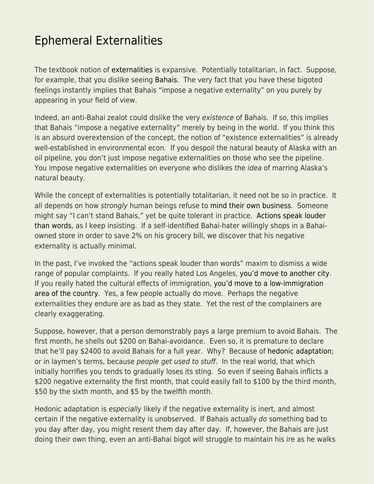## [Ephemeral Externalities](https://everything-voluntary.com/ephemeral-externalities)

The textbook notion of [externalities](https://econfaculty.gmu.edu/bcaplan/e410/pc1.htm) is expansive. Potentially totalitarian, in fact. Suppose, for example, that you dislike seeing [Bahais](https://en.wikipedia.org/wiki/Bah%C3%A1%CA%BC%C3%AD_Faith). The very fact that you have these bigoted feelings instantly implies that Bahais "impose a negative externality" on you purely by appearing in your field of view.

Indeed, an anti-Bahai zealot could dislike the very existence of Bahais. If so, this implies that Bahais "impose a negative externality" merely by being in the world. If you think this is an absurd overextension of the concept, the notion of "existence externalities" is already well-established in environmental econ. If you despoil the natural beauty of Alaska with an oil pipeline, you don't just impose negative externalities on those who see the pipeline. You impose negative externalities on everyone who dislikes the *idea* of marring Alaska's natural beauty.

While the concept of externalities is potentially totalitarian, it need not be so in practice. It all depends on how strongly human beings refuse to [mind their own business.](https://www.econlib.org/archives/2014/12/the_meaning_of_1.html) Someone might say "I can't stand Bahais," yet be quite tolerant in practice. [Actions speak louder](https://www.econlib.org/expendable/) [than words](https://www.econlib.org/expendable/), as I keep insisting. If a self-identified Bahai-hater willingly shops in a Bahaiowned store in order to save 2% on his grocery bill, we discover that his negative externality is actually minimal.

In the past, I've invoked the "actions speak louder than words" maxim to dismiss a wide range of popular complaints. If you really hated Los Angeles, [you'd move to another city](https://www.econlib.org/archives/2007/01/million_dollar.html). If you really hated the cultural effects of immigration, [you'd move to a low-immigration](https://www.econlib.org/my-profound-understanding-of-human-nature/) [area of the country.](https://www.econlib.org/my-profound-understanding-of-human-nature/) Yes, a few people actually do move. Perhaps the negative externalities they endure are as bad as they state. Yet the rest of the complainers are clearly exaggerating.

Suppose, however, that a person demonstrably pays a large premium to avoid Bahais. The first month, he shells out \$200 on Bahai-avoidance. Even so, it is premature to declare that he'll pay \$2400 to avoid Bahais for a full year. Why? Because of [hedonic adaptation;](https://www.sciencedirect.com/topics/psychology/hedonic-adaptation) or in laymen's terms, because people get used to stuff. In the real world, that which initially horrifies you tends to gradually loses its sting. So even if seeing Bahais inflicts a \$200 negative externality the first month, that could easily fall to \$100 by the third month, \$50 by the sixth month, and \$5 by the twelfth month.

Hedonic adaptation is especially likely if the negative externality is inert, and almost certain if the negative externality is unobserved. If Bahais actually do something bad to you day after day, you might resent them day after day. If, however, the Bahais are just doing their own thing, even an anti-Bahai bigot will struggle to maintain his ire as he walks